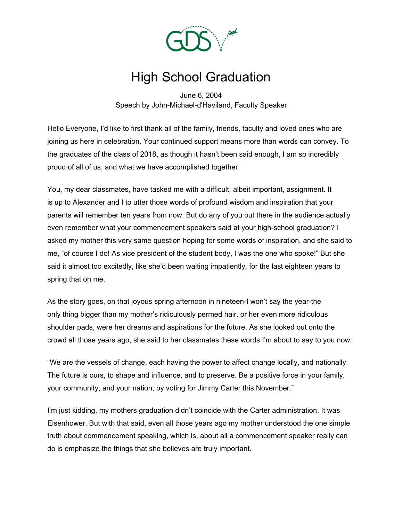

## High School Graduation

June 6, 2004 Speech by John-Michael-d'Haviland, Faculty Speaker

Hello Everyone, I'd like to first thank all of the family, friends, faculty and loved ones who are joining us here in celebration. Your continued support means more than words can convey. To the graduates of the class of 2018, as though it hasn't been said enough, I am so incredibly proud of all of us, and what we have accomplished together.

You, my dear classmates, have tasked me with a difficult, albeit important, assignment. It is up to Alexander and I to utter those words of profound wisdom and inspiration that your parents will remember ten years from now. But do any of you out there in the audience actually even remember what your commencement speakers said at your high-school graduation? I asked my mother this very same question hoping for some words of inspiration, and she said to me, "of course I do! As vice president of the student body, I was the one who spoke!" But she said it almost too excitedly, like she'd been waiting impatiently, for the last eighteen years to spring that on me.

As the story goes, on that joyous spring afternoon in nineteen-I won't say the year-the only thing bigger than my mother's ridiculously permed hair, or her even more ridiculous shoulder pads, were her dreams and aspirations for the future. As she looked out onto the crowd all those years ago, she said to her classmates these words I'm about to say to you now:

"We are the vessels of change, each having the power to affect change locally, and nationally. The future is ours, to shape and influence, and to preserve. Be a positive force in your family, your community, and your nation, by voting for Jimmy Carter this November."

I'm just kidding, my mothers graduation didn't coincide with the Carter administration. It was Eisenhower. But with that said, even all those years ago my mother understood the one simple truth about commencement speaking, which is, about all a commencement speaker really can do is emphasize the things that she believes are truly important.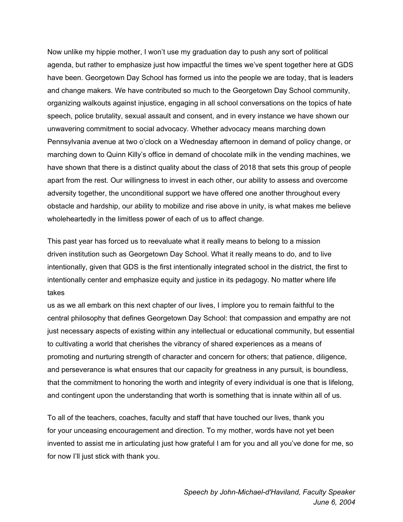Now unlike my hippie mother, I won't use my graduation day to push any sort of political agenda, but rather to emphasize just how impactful the times we've spent together here at GDS have been. Georgetown Day School has formed us into the people we are today, that is leaders and change makers. We have contributed so much to the Georgetown Day School community, organizing walkouts against injustice, engaging in all school conversations on the topics of hate speech, police brutality, sexual assault and consent, and in every instance we have shown our unwavering commitment to social advocacy. Whether advocacy means marching down Pennsylvania avenue at two o'clock on a Wednesday afternoon in demand of policy change, or marching down to Quinn Killy's office in demand of chocolate milk in the vending machines, we have shown that there is a distinct quality about the class of 2018 that sets this group of people apart from the rest. Our willingness to invest in each other, our ability to assess and overcome adversity together, the unconditional support we have offered one another throughout every obstacle and hardship, our ability to mobilize and rise above in unity, is what makes me believe wholeheartedly in the limitless power of each of us to affect change.

This past year has forced us to reevaluate what it really means to belong to a mission driven institution such as Georgetown Day School. What it really means to do, and to live intentionally, given that GDS is the first intentionally integrated school in the district, the first to intentionally center and emphasize equity and justice in its pedagogy. No matter where life takes

us as we all embark on this next chapter of our lives, I implore you to remain faithful to the central philosophy that defines Georgetown Day School: that compassion and empathy are not just necessary aspects of existing within any intellectual or educational community, but essential to cultivating a world that cherishes the vibrancy of shared experiences as a means of promoting and nurturing strength of character and concern for others; that patience, diligence, and perseverance is what ensures that our capacity for greatness in any pursuit, is boundless, that the commitment to honoring the worth and integrity of every individual is one that is lifelong, and contingent upon the understanding that worth is something that is innate within all of us.

To all of the teachers, coaches, faculty and staff that have touched our lives, thank you for your unceasing encouragement and direction. To my mother, words have not yet been invented to assist me in articulating just how grateful I am for you and all you've done for me, so for now I'll just stick with thank you.